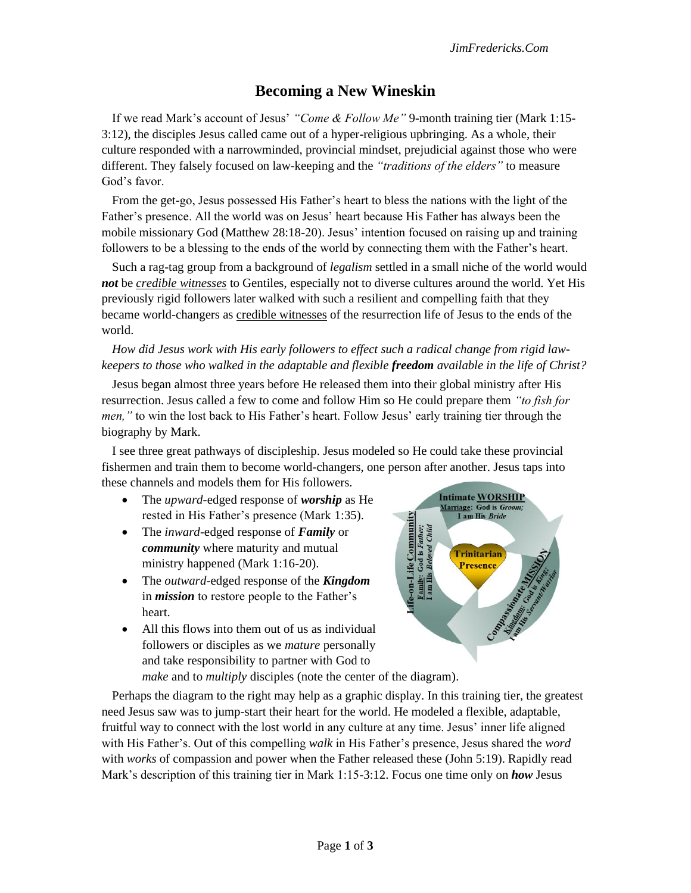# **Becoming a New Wineskin**

If we read Mark's account of Jesus' *"Come & Follow Me"* 9-month training tier (Mark 1:15- 3:12), the disciples Jesus called came out of a hyper-religious upbringing. As a whole, their culture responded with a narrowminded, provincial mindset, prejudicial against those who were different. They falsely focused on law-keeping and the *"traditions of the elders"* to measure God's favor.

From the get-go, Jesus possessed His Father's heart to bless the nations with the light of the Father's presence. All the world was on Jesus' heart because His Father has always been the mobile missionary God (Matthew 28:18-20). Jesus' intention focused on raising up and training followers to be a blessing to the ends of the world by connecting them with the Father's heart.

Such a rag-tag group from a background of *legalism* settled in a small niche of the world would *not* be *credible witnesses* to Gentiles, especially not to diverse cultures around the world. Yet His previously rigid followers later walked with such a resilient and compelling faith that they became world-changers as credible witnesses of the resurrection life of Jesus to the ends of the world.

# *How did Jesus work with His early followers to effect such a radical change from rigid lawkeepers to those who walked in the adaptable and flexible freedom available in the life of Christ?*

Jesus began almost three years before He released them into their global ministry after His resurrection. Jesus called a few to come and follow Him so He could prepare them *"to fish for men,"* to win the lost back to His Father's heart. Follow Jesus' early training tier through the biography by Mark.

I see three great pathways of discipleship. Jesus modeled so He could take these provincial fishermen and train them to become world-changers, one person after another. Jesus taps into these channels and models them for His followers.

- The *upward-*edged response of *worship* as He rested in His Father's presence (Mark 1:35).
- The *inward*-edged response of *Family* or *community* where maturity and mutual ministry happened (Mark 1:16-20).
- The *outward*-edged response of the *Kingdom*  in *mission* to restore people to the Father's heart.
- All this flows into them out of us as individual followers or disciples as we *mature* personally and take responsibility to partner with God to



*make* and to *multiply* disciples (note the center of the diagram).

Perhaps the diagram to the right may help as a graphic display. In this training tier, the greatest need Jesus saw was to jump-start their heart for the world. He modeled a flexible, adaptable, fruitful way to connect with the lost world in any culture at any time. Jesus' inner life aligned with His Father's. Out of this compelling *walk* in His Father's presence, Jesus shared the *word*  with *works* of compassion and power when the Father released these (John 5:19). Rapidly read Mark's description of this training tier in Mark 1:15-3:12. Focus one time only on *how* Jesus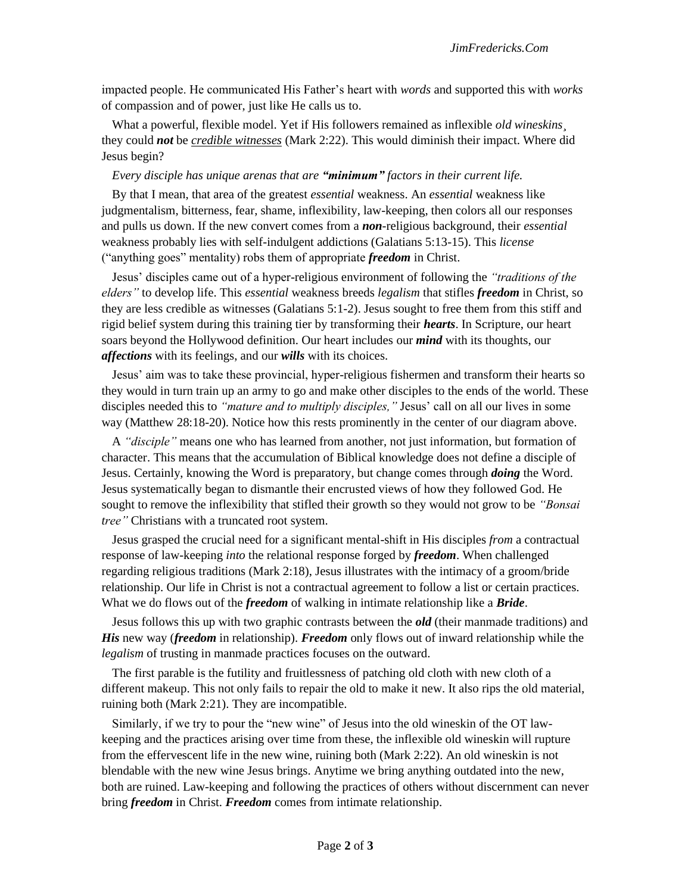impacted people. He communicated His Father's heart with *words* and supported this with *works*  of compassion and of power, just like He calls us to.

What a powerful, flexible model. Yet if His followers remained as inflexible *old wineskins¸* they could *not* be *credible witnesses* (Mark 2:22). This would diminish their impact. Where did Jesus begin?

#### *Every disciple has unique arenas that are "minimum" factors in their current life.*

By that I mean, that area of the greatest *essential* weakness. An *essential* weakness like judgmentalism, bitterness, fear, shame, inflexibility, law-keeping, then colors all our responses and pulls us down. If the new convert comes from a *non*-religious background, their *essential*  weakness probably lies with self-indulgent addictions (Galatians 5:13-15). This *license*  ("anything goes" mentality) robs them of appropriate *freedom* in Christ.

Jesus' disciples came out of a hyper-religious environment of following the *"traditions of the elders"* to develop life. This *essential* weakness breeds *legalism* that stifles *freedom* in Christ, so they are less credible as witnesses (Galatians 5:1-2). Jesus sought to free them from this stiff and rigid belief system during this training tier by transforming their *hearts*. In Scripture, our heart soars beyond the Hollywood definition. Our heart includes our *mind* with its thoughts, our *affections* with its feelings, and our *wills* with its choices.

Jesus' aim was to take these provincial, hyper-religious fishermen and transform their hearts so they would in turn train up an army to go and make other disciples to the ends of the world. These disciples needed this to *"mature and to multiply disciples,"* Jesus' call on all our lives in some way (Matthew 28:18-20). Notice how this rests prominently in the center of our diagram above.

A *"disciple"* means one who has learned from another, not just information, but formation of character. This means that the accumulation of Biblical knowledge does not define a disciple of Jesus. Certainly, knowing the Word is preparatory, but change comes through *doing* the Word. Jesus systematically began to dismantle their encrusted views of how they followed God. He sought to remove the inflexibility that stifled their growth so they would not grow to be *"Bonsai tree"* Christians with a truncated root system.

Jesus grasped the crucial need for a significant mental-shift in His disciples *from* a contractual response of law-keeping *into* the relational response forged by *freedom*. When challenged regarding religious traditions (Mark 2:18), Jesus illustrates with the intimacy of a groom/bride relationship. Our life in Christ is not a contractual agreement to follow a list or certain practices. What we do flows out of the *freedom* of walking in intimate relationship like a *Bride*.

Jesus follows this up with two graphic contrasts between the *old* (their manmade traditions) and *His* new way (*freedom* in relationship). *Freedom* only flows out of inward relationship while the *legalism* of trusting in manmade practices focuses on the outward.

The first parable is the futility and fruitlessness of patching old cloth with new cloth of a different makeup. This not only fails to repair the old to make it new. It also rips the old material, ruining both (Mark 2:21). They are incompatible.

Similarly, if we try to pour the "new wine" of Jesus into the old wineskin of the OT lawkeeping and the practices arising over time from these, the inflexible old wineskin will rupture from the effervescent life in the new wine, ruining both (Mark 2:22). An old wineskin is not blendable with the new wine Jesus brings. Anytime we bring anything outdated into the new, both are ruined. Law-keeping and following the practices of others without discernment can never bring *freedom* in Christ. *Freedom* comes from intimate relationship.